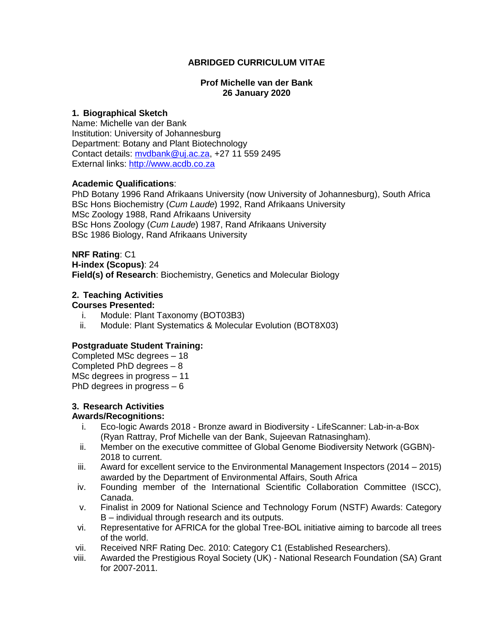## **ABRIDGED CURRICULUM VITAE**

#### **Prof Michelle van der Bank 26 January 2020**

#### **1. Biographical Sketch**

Name: Michelle van der Bank Institution: University of Johannesburg Department: Botany and Plant Biotechnology Contact details: [mvdbank@uj.ac.za,](mailto:mvdbank@uj.ac.za) +27 11 559 2495 External links: [http://www.acdb.co.za](http://www.acdb.co.za/)

#### **Academic Qualifications**:

PhD Botany 1996 Rand Afrikaans University (now University of Johannesburg), South Africa BSc Hons Biochemistry (*Cum Laude*) 1992, Rand Afrikaans University MSc Zoology 1988, Rand Afrikaans University BSc Hons Zoology (*Cum Laude*) 1987, Rand Afrikaans University BSc 1986 Biology, Rand Afrikaans University

**NRF Rating**: C1 **H-index (Scopus)**: 24 **Field(s) of Research**: Biochemistry, Genetics and Molecular Biology

## **2. Teaching Activities**

#### **Courses Presented:**

- i. Module: Plant Taxonomy (BOT03B3)
- ii. Module: Plant Systematics & Molecular Evolution (BOT8X03)

### **Postgraduate Student Training:**

Completed MSc degrees – 18 Completed PhD degrees – 8 MSc degrees in progress – 11 PhD degrees in progress – 6

### **3. Research Activities**

### **Awards/Recognitions:**

- i. Eco-logic Awards 2018 Bronze award in Biodiversity LifeScanner: Lab-in-a-Box (Ryan Rattray, Prof Michelle van der Bank, Sujeevan Ratnasingham).
- ii. Member on the executive committee of Global Genome Biodiversity Network (GGBN)- 2018 to current.
- iii. Award for excellent service to the Environmental Management Inspectors (2014 2015) awarded by the Department of Environmental Affairs, South Africa
- iv. Founding member of the International Scientific Collaboration Committee (ISCC), Canada.
- v. Finalist in 2009 for National Science and Technology Forum (NSTF) Awards: Category B – individual through research and its outputs.
- vi. Representative for AFRICA for the global Tree-BOL initiative aiming to barcode all trees of the world.
- vii. Received NRF Rating Dec. 2010: Category C1 (Established Researchers).
- viii. Awarded the Prestigious Royal Society (UK) National Research Foundation (SA) Grant for 2007-2011.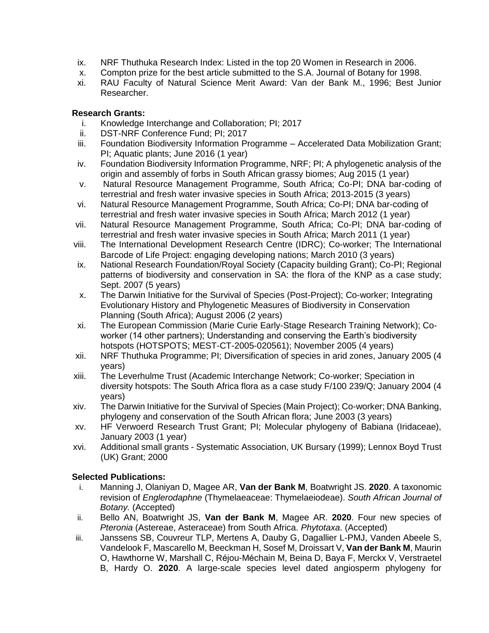- ix. NRF Thuthuka Research Index: Listed in the top 20 Women in Research in 2006.
- x. Compton prize for the best article submitted to the S.A. Journal of Botany for 1998.
- xi. RAU Faculty of Natural Science Merit Award: Van der Bank M., 1996; Best Junior Researcher.

## **Research Grants:**

- i. Knowledge Interchange and Collaboration; PI; 2017
- ii. DST-NRF Conference Fund; PI; 2017
- iii. Foundation Biodiversity Information Programme Accelerated Data Mobilization Grant; PI; Aquatic plants; June 2016 (1 year)
- iv. Foundation Biodiversity Information Programme, NRF; PI; A phylogenetic analysis of the origin and assembly of forbs in South African grassy biomes; Aug 2015 (1 year)
- v. Natural Resource Management Programme, South Africa; Co-PI; DNA bar-coding of terrestrial and fresh water invasive species in South Africa; 2013-2015 (3 years)
- vi. Natural Resource Management Programme, South Africa; Co-PI; DNA bar-coding of terrestrial and fresh water invasive species in South Africa; March 2012 (1 year)
- vii. Natural Resource Management Programme, South Africa; Co-PI; DNA bar-coding of terrestrial and fresh water invasive species in South Africa; March 2011 (1 year)
- viii. The International Development Research Centre (IDRC); Co-worker; The International Barcode of Life Project: engaging developing nations; March 2010 (3 years)
- ix. National Research Foundation/Royal Society (Capacity building Grant); Co-PI; Regional patterns of biodiversity and conservation in SA: the flora of the KNP as a case study; Sept. 2007 (5 years)
- x. The Darwin Initiative for the Survival of Species (Post-Project); Co-worker; Integrating Evolutionary History and Phylogenetic Measures of Biodiversity in Conservation Planning (South Africa); August 2006 (2 years)
- xi. The European Commission (Marie Curie Early-Stage Research Training Network); Coworker (14 other partners); Understanding and conserving the Earth's biodiversity hotspots (HOTSPOTS; MEST-CT-2005-020561); November 2005 (4 years)
- xii. NRF Thuthuka Programme; PI; Diversification of species in arid zones, January 2005 (4 years)
- xiii. The Leverhulme Trust (Academic Interchange Network; Co-worker; Speciation in diversity hotspots: The South Africa flora as a case study F/100 239/Q; January 2004 (4 years)
- xiv. The Darwin Initiative for the Survival of Species (Main Project); Co-worker; DNA Banking, phylogeny and conservation of the South African flora; June 2003 (3 years)
- xv. HF Verwoerd Research Trust Grant; PI; Molecular phylogeny of Babiana (Iridaceae), January 2003 (1 year)
- xvi. Additional small grants Systematic Association, UK Bursary (1999); Lennox Boyd Trust (UK) Grant; 2000

# **Selected Publications:**

- i. Manning J, Olaniyan D, Magee AR, **Van der Bank M**, Boatwright JS. **2020**. A taxonomic revision of *Englerodaphne* (Thymelaeaceae: Thymelaeiodeae). *South African Journal of Botany.* (Accepted)
- ii. Bello AN, Boatwright JS, **Van der Bank M**, Magee AR. **2020**. Four new species of *Pteronia* (Astereae, Asteraceae) from South Africa. *Phytotaxa*. (Accepted)
- iii. Janssens SB, Couvreur TLP, Mertens A, Dauby G, Dagallier L-PMJ, Vanden Abeele S, Vandelook F, Mascarello M, Beeckman H, Sosef M, Droissart V, **Van der Bank M**, Maurin O, Hawthorne W, Marshall C, Réjou-Méchain M, Beina D, Baya F, Merckx V, Verstraetel B, Hardy O. **2020**. A large-scale species level dated angiosperm phylogeny for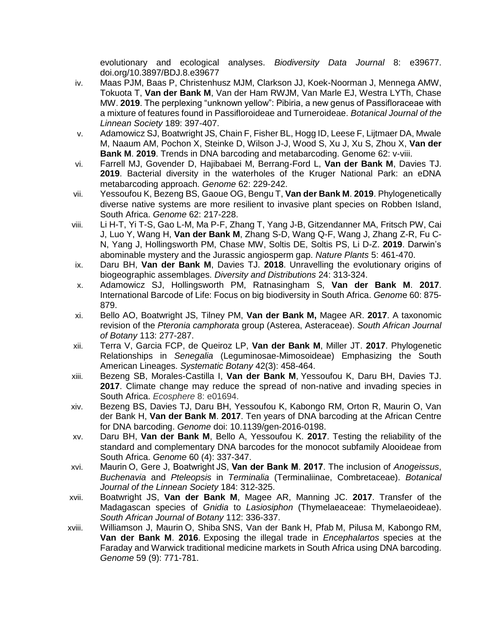evolutionary and ecological analyses. *Biodiversity Data Journal* 8: e39677. doi.org/10.3897/BDJ.8.e39677

- iv. Maas PJM, Baas P, Christenhusz MJM, Clarkson JJ, Koek-Noorman J, Mennega AMW, Tokuota T, **Van der Bank M**, Van der Ham RWJM, Van Marle EJ, Westra LYTh, Chase MW. **2019**. The perplexing "unknown yellow": Pibiria, a new genus of Passifloraceae with a mixture of features found in Passifloroideae and Turneroideae. *Botanical Journal of the Linnean Society* 189: 397-407.
- v. Adamowicz SJ, Boatwright JS, Chain F, Fisher BL, Hogg ID, Leese F, Lijtmaer DA, Mwale M, Naaum AM, Pochon X, Steinke D, Wilson J-J, Wood S, Xu J, Xu S, Zhou X, **Van der Bank M**. **2019**. Trends in DNA barcoding and metabarcoding. Genome 62: v-viii.
- vi. Farrell MJ, Govender D, Hajibabaei M, Berrang-Ford L, **Van der Bank M**, Davies TJ. **2019**. Bacterial diversity in the waterholes of the Kruger National Park: an eDNA metabarcoding approach. *Genome* 62: 229-242.
- vii. Yessoufou K, Bezeng BS, Gaoue OG, Bengu T, **Van der Bank M**. **2019**. Phylogenetically diverse native systems are more resilient to invasive plant species on Robben Island, South Africa. *Genome* 62: 217-228.
- viii. Li H-T, Yi T-S, Gao L-M, Ma P-F, Zhang T, Yang J-B, Gitzendanner MA, Fritsch PW, Cai J, Luo Y, Wang H, **Van der Bank M**, Zhang S-D, Wang Q-F, Wang J, Zhang Z-R, Fu C-N, Yang J, Hollingsworth PM, Chase MW, Soltis DE, Soltis PS, Li D-Z. **2019**. Darwin's abominable mystery and the Jurassic angiosperm gap. *Nature Plants* 5: 461-470.
- ix. Daru BH, **Van der Bank M**, Davies TJ. **2018**. Unravelling the evolutionary origins of biogeographic assemblages. *Diversity and Distributions* 24: 313-324.
- x. Adamowicz SJ, Hollingsworth PM, Ratnasingham S, **Van der Bank M**. **2017**. International Barcode of Life: Focus on big biodiversity in South Africa. *Genom*e 60: 875- 879.
- xi. Bello AO, Boatwright JS, Tilney PM, **Van der Bank M,** Magee AR. **2017**. A taxonomic revision of the *Pteronia camphorata* group (Asterea, Asteraceae). *South African Journal of Botany* 113: 277-287.
- xii. Terra V, Garcia FCP, de Queiroz LP, **Van der Bank M**, Miller JT. **2017**. Phylogenetic Relationships in *Senegalia* (Leguminosae-Mimosoideae) Emphasizing the South American Lineages. *Systematic Botany* 42(3): 458-464.
- xiii. Bezeng SB, Morales-Castilla I, **Van der Bank M**, Yessoufou K, Daru BH, Davies TJ. **2017**. Climate change may reduce the spread of non-native and invading species in South Africa. *Ecosphere* 8: e01694.
- xiv. Bezeng BS, Davies TJ, Daru BH, Yessoufou K, Kabongo RM, Orton R, Maurin O, Van der Bank H, **Van der Bank M**. **2017**. Ten years of DNA barcoding at the African Centre for DNA barcoding. *Genome* doi: 10.1139/gen-2016-0198.
- xv. Daru BH, **Van der Bank M**, Bello A, Yessoufou K. **2017**. Testing the reliability of the standard and complementary DNA barcodes for the monocot subfamily Alooideae from South Africa. *Genome* 60 (4): 337-347.
- xvi. Maurin O, Gere J, Boatwright JS, **Van der Bank M**. **2017**. The inclusion of *Anogeissus*, *Buchenavia* and *Pteleopsis* in *Terminalia* (Terminaliinae, Combretaceae). *Botanical Journal of the Linnean Society* 184: 312-325.
- xvii. Boatwright JS, **Van der Bank M**, Magee AR, Manning JC. **2017**. Transfer of the Madagascan species of *Gnidia* to *Lasiosiphon* (Thymelaeaceae: Thymelaeoideae). *South African Journal of Botany* 112: 336-337.
- xviii. Williamson J, Maurin O, Shiba SNS, Van der Bank H, Pfab M, Pilusa M, Kabongo RM, **Van der Bank M**. **2016**. Exposing the illegal trade in *Encephalartos* species at the Faraday and Warwick traditional medicine markets in South Africa using DNA barcoding. *Genome* 59 (9): 771-781.